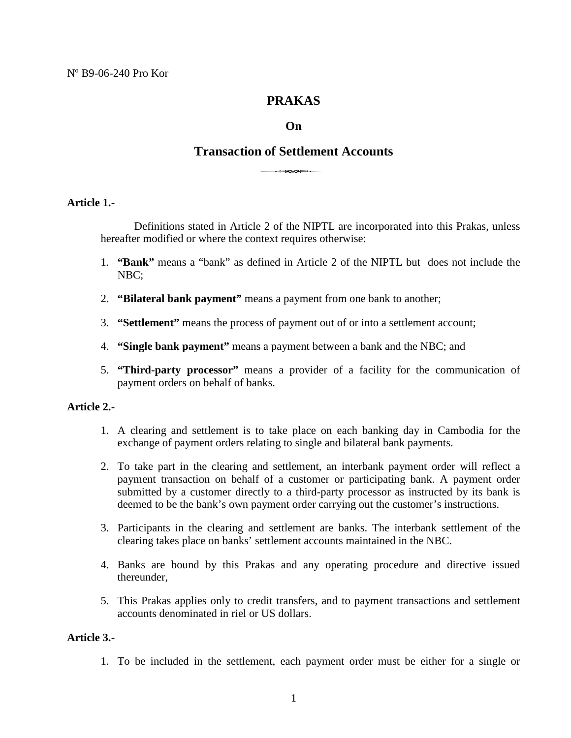# **PRAKAS**

# **On**

# **Transaction of Settlement Accounts** <sup>3</sup>

### **Article 1.-**

Definitions stated in Article 2 of the NIPTL are incorporated into this Prakas, unless hereafter modified or where the context requires otherwise:

- 1. **"Bank"** means a "bank" as defined in Article 2 of the NIPTL but does not include the NBC;
- 2. **"Bilateral bank payment"** means a payment from one bank to another;
- 3. **"Settlement"** means the process of payment out of or into a settlement account;
- 4. **"Single bank payment"** means a payment between a bank and the NBC; and
- 5. **"Third-party processor"** means a provider of a facility for the communication of payment orders on behalf of banks.

### **Article 2.-**

- 1. A clearing and settlement is to take place on each banking day in Cambodia for the exchange of payment orders relating to single and bilateral bank payments.
- 2. To take part in the clearing and settlement, an interbank payment order will reflect a payment transaction on behalf of a customer or participating bank. A payment order submitted by a customer directly to a third-party processor as instructed by its bank is deemed to be the bank's own payment order carrying out the customer's instructions.
- 3. Participants in the clearing and settlement are banks. The interbank settlement of the clearing takes place on banks' settlement accounts maintained in the NBC.
- 4. Banks are bound by this Prakas and any operating procedure and directive issued thereunder,
- 5. This Prakas applies only to credit transfers, and to payment transactions and settlement accounts denominated in riel or US dollars.

# **Article 3.-**

1. To be included in the settlement, each payment order must be either for a single or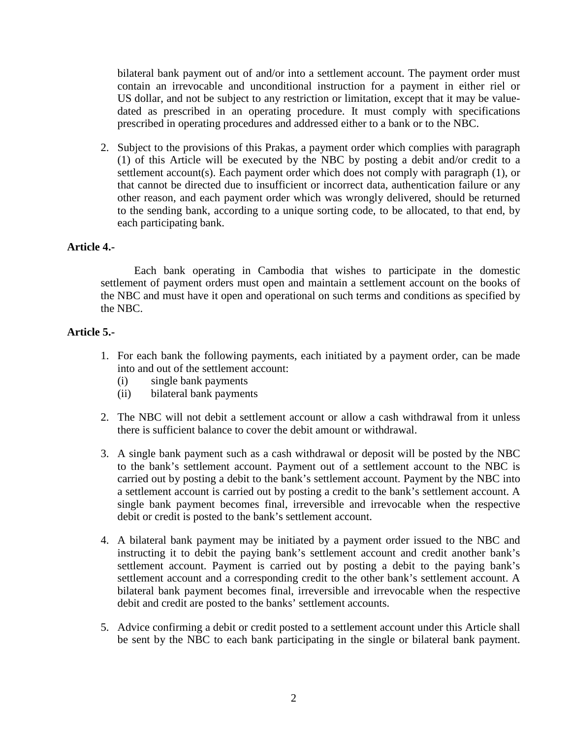bilateral bank payment out of and/or into a settlement account. The payment order must contain an irrevocable and unconditional instruction for a payment in either riel or US dollar, and not be subject to any restriction or limitation, except that it may be valuedated as prescribed in an operating procedure. It must comply with specifications prescribed in operating procedures and addressed either to a bank or to the NBC.

2. Subject to the provisions of this Prakas, a payment order which complies with paragraph (1) of this Article will be executed by the NBC by posting a debit and/or credit to a settlement account(s). Each payment order which does not comply with paragraph (1), or that cannot be directed due to insufficient or incorrect data, authentication failure or any other reason, and each payment order which was wrongly delivered, should be returned to the sending bank, according to a unique sorting code, to be allocated, to that end, by each participating bank.

### **Article 4.-**

Each bank operating in Cambodia that wishes to participate in the domestic settlement of payment orders must open and maintain a settlement account on the books of the NBC and must have it open and operational on such terms and conditions as specified by the NBC.

# **Article 5.-**

- 1. For each bank the following payments, each initiated by a payment order, can be made into and out of the settlement account:
	- (i) single bank payments
	- (ii) bilateral bank payments
- 2. The NBC will not debit a settlement account or allow a cash withdrawal from it unless there is sufficient balance to cover the debit amount or withdrawal.
- 3. A single bank payment such as a cash withdrawal or deposit will be posted by the NBC to the bank's settlement account. Payment out of a settlement account to the NBC is carried out by posting a debit to the bank's settlement account. Payment by the NBC into a settlement account is carried out by posting a credit to the bank's settlement account. A single bank payment becomes final, irreversible and irrevocable when the respective debit or credit is posted to the bank's settlement account.
- 4. A bilateral bank payment may be initiated by a payment order issued to the NBC and instructing it to debit the paying bank's settlement account and credit another bank's settlement account. Payment is carried out by posting a debit to the paying bank's settlement account and a corresponding credit to the other bank's settlement account. A bilateral bank payment becomes final, irreversible and irrevocable when the respective debit and credit are posted to the banks' settlement accounts.
- 5. Advice confirming a debit or credit posted to a settlement account under this Article shall be sent by the NBC to each bank participating in the single or bilateral bank payment.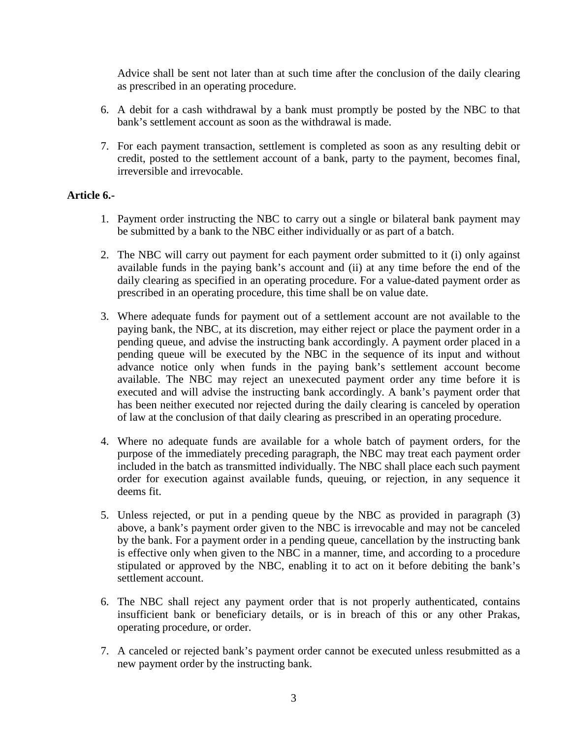Advice shall be sent not later than at such time after the conclusion of the daily clearing as prescribed in an operating procedure.

- 6. A debit for a cash withdrawal by a bank must promptly be posted by the NBC to that bank's settlement account as soon as the withdrawal is made.
- 7. For each payment transaction, settlement is completed as soon as any resulting debit or credit, posted to the settlement account of a bank, party to the payment, becomes final, irreversible and irrevocable.

# **Article 6.-**

- 1. Payment order instructing the NBC to carry out a single or bilateral bank payment may be submitted by a bank to the NBC either individually or as part of a batch.
- 2. The NBC will carry out payment for each payment order submitted to it (i) only against available funds in the paying bank's account and (ii) at any time before the end of the daily clearing as specified in an operating procedure. For a value-dated payment order as prescribed in an operating procedure, this time shall be on value date.
- 3. Where adequate funds for payment out of a settlement account are not available to the paying bank, the NBC, at its discretion, may either reject or place the payment order in a pending queue, and advise the instructing bank accordingly. A payment order placed in a pending queue will be executed by the NBC in the sequence of its input and without advance notice only when funds in the paying bank's settlement account become available. The NBC may reject an unexecuted payment order any time before it is executed and will advise the instructing bank accordingly. A bank's payment order that has been neither executed nor rejected during the daily clearing is canceled by operation of law at the conclusion of that daily clearing as prescribed in an operating procedure.
- 4. Where no adequate funds are available for a whole batch of payment orders, for the purpose of the immediately preceding paragraph, the NBC may treat each payment order included in the batch as transmitted individually. The NBC shall place each such payment order for execution against available funds, queuing, or rejection, in any sequence it deems fit.
- 5. Unless rejected, or put in a pending queue by the NBC as provided in paragraph (3) above, a bank's payment order given to the NBC is irrevocable and may not be canceled by the bank. For a payment order in a pending queue, cancellation by the instructing bank is effective only when given to the NBC in a manner, time, and according to a procedure stipulated or approved by the NBC, enabling it to act on it before debiting the bank's settlement account.
- 6. The NBC shall reject any payment order that is not properly authenticated, contains insufficient bank or beneficiary details, or is in breach of this or any other Prakas, operating procedure, or order.
- 7. A canceled or rejected bank's payment order cannot be executed unless resubmitted as a new payment order by the instructing bank.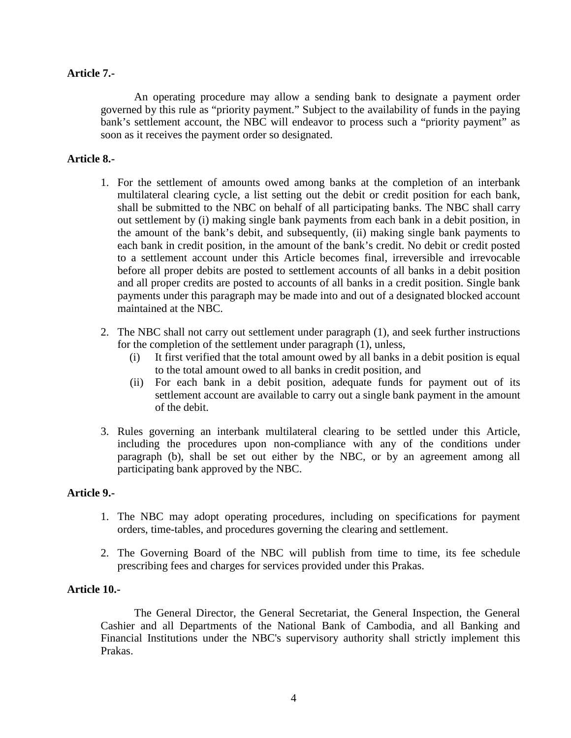## **Article 7.-**

An operating procedure may allow a sending bank to designate a payment order governed by this rule as "priority payment." Subject to the availability of funds in the paying bank's settlement account, the NBC will endeavor to process such a "priority payment" as soon as it receives the payment order so designated.

# **Article 8.-**

- 1. For the settlement of amounts owed among banks at the completion of an interbank multilateral clearing cycle, a list setting out the debit or credit position for each bank, shall be submitted to the NBC on behalf of all participating banks. The NBC shall carry out settlement by (i) making single bank payments from each bank in a debit position, in the amount of the bank's debit, and subsequently, (ii) making single bank payments to each bank in credit position, in the amount of the bank's credit. No debit or credit posted to a settlement account under this Article becomes final, irreversible and irrevocable before all proper debits are posted to settlement accounts of all banks in a debit position and all proper credits are posted to accounts of all banks in a credit position. Single bank payments under this paragraph may be made into and out of a designated blocked account maintained at the NBC.
- 2. The NBC shall not carry out settlement under paragraph (1), and seek further instructions for the completion of the settlement under paragraph (1), unless,
	- (i) It first verified that the total amount owed by all banks in a debit position is equal to the total amount owed to all banks in credit position, and
	- (ii) For each bank in a debit position, adequate funds for payment out of its settlement account are available to carry out a single bank payment in the amount of the debit.
- 3. Rules governing an interbank multilateral clearing to be settled under this Article, including the procedures upon non-compliance with any of the conditions under paragraph (b), shall be set out either by the NBC, or by an agreement among all participating bank approved by the NBC.

## **Article 9.-**

- 1. The NBC may adopt operating procedures, including on specifications for payment orders, time-tables, and procedures governing the clearing and settlement.
- 2. The Governing Board of the NBC will publish from time to time, its fee schedule prescribing fees and charges for services provided under this Prakas.

### **Article 10.-**

The General Director, the General Secretariat, the General Inspection, the General Cashier and all Departments of the National Bank of Cambodia, and all Banking and Financial Institutions under the NBC's supervisory authority shall strictly implement this Prakas.